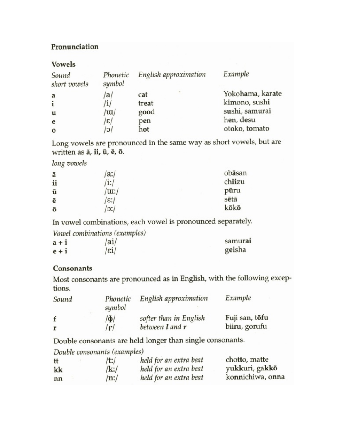# Pronunciation

### **Vowels**

| Sound<br>short vowels | Phonetic<br>symbol           | English approximation | Example          |
|-----------------------|------------------------------|-----------------------|------------------|
| a                     | a                            | cat                   | Yokohama, karate |
| i                     | $\mathbf{i}$                 | treat                 | kimono, sushi    |
| u                     | $\langle \mathrm{u} \rangle$ | good                  | sushi, samurai   |
| e                     | $ \varepsilon $              | pen                   | hen, desu        |
| $\bf{0}$              | O                            | hot                   | otoko, tomato    |

Long vowels are pronounced in the same way as short vowels, but are written as ā, ii, ū, ē, ō.

long vowels

| ā  | $\alpha$ :/      | obāsan |
|----|------------------|--------|
| ii | /i:/             | chiizu |
| ū  | /tu:/            | pūru   |
| ē  | $\varepsilon$ :/ | sētā   |
| ō  | $\cdot$ :/       | kōkō   |

In vowel combinations, each vowel is pronounced separately.

|         | Vowel combinations (examples) |         |
|---------|-------------------------------|---------|
| $a + i$ | /ai/                          | samurai |
| $e + i$ | /εi∕                          | geisha  |

## Consonants

Most consonants are pronounced as in English, with the following exceptions.

| Sound | Phonetic<br>symbol | English approximation  | Example        |
|-------|--------------------|------------------------|----------------|
|       | ΙФΙ                | softer than in English | Fuji san, tōfu |
|       | r                  | between 1 and r        | biiru, gorufu  |

Double consonants are held longer than single consonants.

Double consonants (examples)

| tt | /t:/    | held for an extra beat | chotto, matte    |
|----|---------|------------------------|------------------|
| kk | /k:/    | held for an extra beat | yukkuri, gakkō   |
| nn | $/n$ :/ | held for an extra beat | konnichiwa, onna |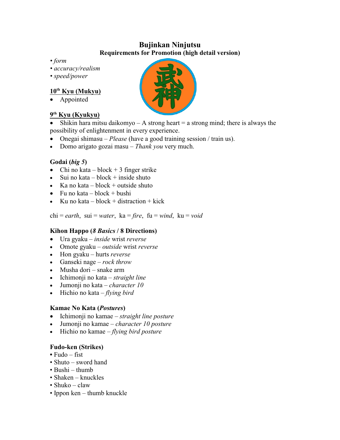# **Bujinkan Ninjutsu Requirements for Promotion (high detail version)**

- *• form*
- *• accuracy/realism*
- *• speed/power*

### **10th Kyu (Mukyu)**

• Appointed

#### **9 th Kyu (Kyukyu)**

Shikin hara mitsu daikomyo – A strong heart  $=$  a strong mind; there is always the possibility of enlightenment in every experience.

- · Onegai shimasu *Please* (have a good training session / train us).
- · Domo arigato gozai masu *Thank you* very much.

#### **Godai (***big 5***)**

- Chi no kata block  $+3$  finger strike
- Sui no kata block  $+$  inside shuto
- Ka no kata block + outside shuto
- Fu no kata block + bushi
- Ku no kata block  $+$  distraction  $+$  kick

 $chi = earth$ ,  $sui = water$ ,  $ka = fire$ ,  $fu = wind$ ,  $ku = void$ 

#### **Kihon Happo (***8 Basics* **/ 8 Directions)**

- · Ura gyaku *inside* wrist *reverse*
- · Omote gyaku *outside* wrist *reverse*
- · Hon gyaku hurts *reverse*
- · Ganseki nage *rock throw*
- Musha dori snake arm
- · Ichimonji no kata *straight line*
- · Jumonji no kata *character 10*
- · Hichio no kata *flying bird*

#### **Kamae No Kata (***Postures***)**

- · Ichimonji no kamae *straight line posture*
- · Jumonji no kamae *character 10 posture*
- · Hichio no kamae *flying bird posture*

#### **Fudo-ken (Strikes)**

- **•** Fudo fist
- Shuto sword hand
- Bushi thumb
- Shaken knuckles
- Shuko claw
- Ippon ken thumb knuckle